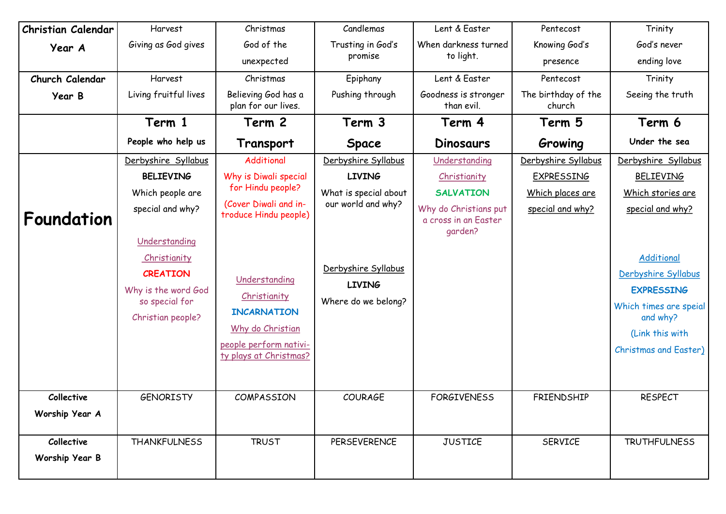| Christian Calendar | Harvest                                                                                                        | Christmas                                                                                                                   | Candlemas                                                   | Lent & Easter                                            | Pentecost                     | Trinity                                                                                                                                         |
|--------------------|----------------------------------------------------------------------------------------------------------------|-----------------------------------------------------------------------------------------------------------------------------|-------------------------------------------------------------|----------------------------------------------------------|-------------------------------|-------------------------------------------------------------------------------------------------------------------------------------------------|
| Year A             | Giving as God gives                                                                                            | God of the                                                                                                                  | Trusting in God's                                           | When darkness turned                                     | Knowing God's                 | God's never                                                                                                                                     |
|                    |                                                                                                                | unexpected                                                                                                                  | promise                                                     | to light.                                                | presence                      | ending love                                                                                                                                     |
| Church Calendar    | Harvest                                                                                                        | Christmas                                                                                                                   | Epiphany                                                    | Lent & Easter                                            | Pentecost                     | Trinity                                                                                                                                         |
| Year B             | Living fruitful lives                                                                                          | Believing God has a<br>plan for our lives.                                                                                  | Pushing through                                             | Goodness is stronger<br>than evil.                       | The birthday of the<br>church | Seeing the truth                                                                                                                                |
|                    | Term 1                                                                                                         | Term 2                                                                                                                      | Term 3                                                      | Term 4                                                   | Term 5                        | Term 6                                                                                                                                          |
|                    | People who help us                                                                                             | Transport                                                                                                                   | <b>Space</b>                                                | <b>Dinosaurs</b>                                         | Growing                       | Under the sea                                                                                                                                   |
|                    | Derbyshire Syllabus                                                                                            | Additional                                                                                                                  | Derbyshire Syllabus                                         | Understanding                                            | Derbyshire Syllabus           | Derbyshire Syllabus                                                                                                                             |
|                    | <b>BELIEVING</b>                                                                                               | Why is Diwali special                                                                                                       | <b>LIVING</b>                                               | Christianity                                             | <b>EXPRESSING</b>             | <b>BELIEVING</b>                                                                                                                                |
|                    | Which people are                                                                                               | for Hindu people?                                                                                                           | What is special about                                       | <b>SALVATION</b>                                         | Which places are              | Which stories are                                                                                                                               |
| Foundation         | special and why?                                                                                               | (Cover Diwali and in-<br>troduce Hindu people)                                                                              | our world and why?                                          | Why do Christians put<br>a cross in an Easter<br>qarden? | special and why?              | special and why?                                                                                                                                |
|                    | Understanding<br>Christianity<br><b>CREATION</b><br>Why is the word God<br>so special for<br>Christian people? | Understanding<br>Christianity<br><b>INCARNATION</b><br>Why do Christian<br>people perform nativi-<br>ty plays at Christmas? | Derbyshire Syllabus<br><b>LIVING</b><br>Where do we belong? |                                                          |                               | Additional<br>Derbyshire Syllabus<br><b>EXPRESSING</b><br>Which times are speial<br>and why?<br>(Link this with<br><b>Christmas and Easter)</b> |
| Collective         | <b>GENORISTY</b>                                                                                               | COMPASSION                                                                                                                  | <b>COURAGE</b>                                              | <b>FORGIVENESS</b>                                       | FRIENDSHIP                    | <b>RESPECT</b>                                                                                                                                  |
| Worship Year A     |                                                                                                                |                                                                                                                             |                                                             |                                                          |                               |                                                                                                                                                 |
| Collective         | <b>THANKFULNESS</b>                                                                                            | <b>TRUST</b>                                                                                                                | <b>PERSEVERENCE</b>                                         | <b>JUSTICE</b>                                           | <b>SERVICE</b>                | <b>TRUTHFULNESS</b>                                                                                                                             |
| Worship Year B     |                                                                                                                |                                                                                                                             |                                                             |                                                          |                               |                                                                                                                                                 |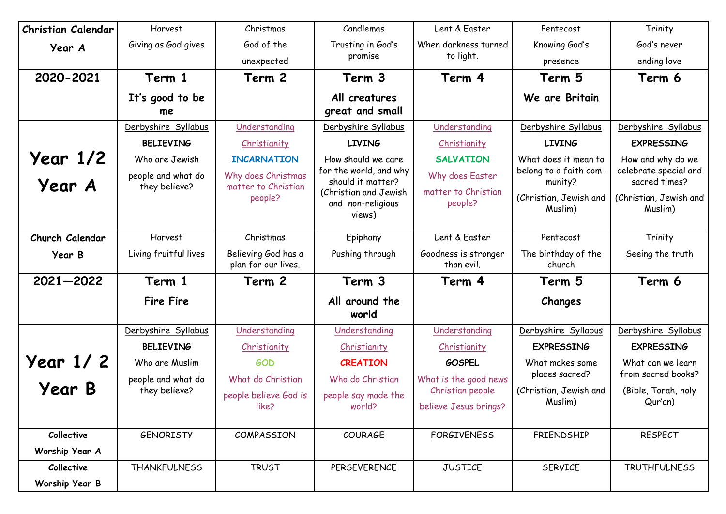| <b>Christian Calendar</b> | Harvest                             | Christmas                                  | Candlemas                                            | Lent & Easter                      | Pentecost                         | Trinity                                |
|---------------------------|-------------------------------------|--------------------------------------------|------------------------------------------------------|------------------------------------|-----------------------------------|----------------------------------------|
| Year A                    | Giving as God gives                 | God of the                                 | Trusting in God's                                    | When darkness turned               | Knowing God's                     | God's never                            |
|                           |                                     | unexpected                                 | promise                                              | to light.                          | presence                          | ending love                            |
| 2020-2021                 | Term 1                              | Term 2                                     | Term 3                                               | Term 4                             | Term 5                            | Term 6                                 |
|                           | It's good to be<br>me               |                                            | All creatures<br>great and small                     |                                    | We are Britain                    |                                        |
|                           | Derbyshire Syllabus                 | Understanding                              | Derbyshire Syllabus                                  | Understanding                      | Derbyshire Syllabus               | Derbyshire Syllabus                    |
|                           | <b>BELIEVING</b>                    | Christianity                               | <b>LIVING</b>                                        | Christianity                       | <b>LIVING</b>                     | <b>EXPRESSING</b>                      |
| <b>Year 1/2</b>           | Who are Jewish                      | <b>INCARNATION</b>                         | How should we care                                   | <b>SALVATION</b>                   | What does it mean to              | How and why do we                      |
| Year A                    | people and what do<br>they believe? | Why does Christmas<br>matter to Christian  | for the world, and why<br>should it matter?          | Why does Easter                    | belong to a faith com-<br>munity? | celebrate special and<br>sacred times? |
|                           |                                     | people?                                    | (Christian and Jewish<br>and non-religious<br>views) | matter to Christian<br>people?     | (Christian, Jewish and<br>Muslim) | (Christian, Jewish and<br>Muslim)      |
| Church Calendar           | Harvest                             | Christmas                                  | Epiphany                                             | Lent & Easter                      | Pentecost                         | Trinity                                |
| Year B                    | Living fruitful lives               | Believing God has a<br>plan for our lives. | Pushing through                                      | Goodness is stronger<br>than evil. | The birthday of the<br>church     | Seeing the truth                       |
| 2021-2022                 | Term 1                              | Term 2                                     | Term 3                                               | Term 4                             | Term 5                            | Term 6                                 |
|                           | <b>Fire Fire</b>                    |                                            | All around the<br>world                              |                                    | Changes                           |                                        |
|                           | Derbyshire Syllabus                 | Understanding                              | Understanding                                        | Understanding                      | Derbyshire Syllabus               | Derbyshire Syllabus                    |
|                           | <b>BELIEVING</b>                    | Christianity                               | Christianity                                         | Christianity                       | <b>EXPRESSING</b>                 | <b>EXPRESSING</b>                      |
| <b>Year 1/2</b>           | Who are Muslim                      | <b>GOD</b>                                 | <b>CREATION</b>                                      | <b>GOSPEL</b>                      | What makes some                   | What can we learn                      |
|                           | people and what do                  | What do Christian                          | Who do Christian                                     | What is the good news              | places sacred?                    | from sacred books?                     |
| <b>Year B</b>             | they believe?                       | people believe God is                      | people say made the                                  | Christian people                   | (Christian, Jewish and<br>Muslim) | (Bible, Torah, holy<br>Qur'an)         |
|                           |                                     | like?                                      | world?                                               | believe Jesus brings?              |                                   |                                        |
| Collective                | <b>GENORISTY</b>                    | COMPASSION                                 | <b>COURAGE</b>                                       | <b>FORGIVENESS</b>                 | FRIENDSHIP                        | <b>RESPECT</b>                         |
| Worship Year A            |                                     |                                            |                                                      |                                    |                                   |                                        |
|                           |                                     |                                            |                                                      |                                    |                                   |                                        |
| Collective                | <b>THANKFULNESS</b>                 | <b>TRUST</b>                               | <b>PERSEVERENCE</b>                                  | <b>JUSTICE</b>                     | <b>SERVICE</b>                    | <b>TRUTHFULNESS</b>                    |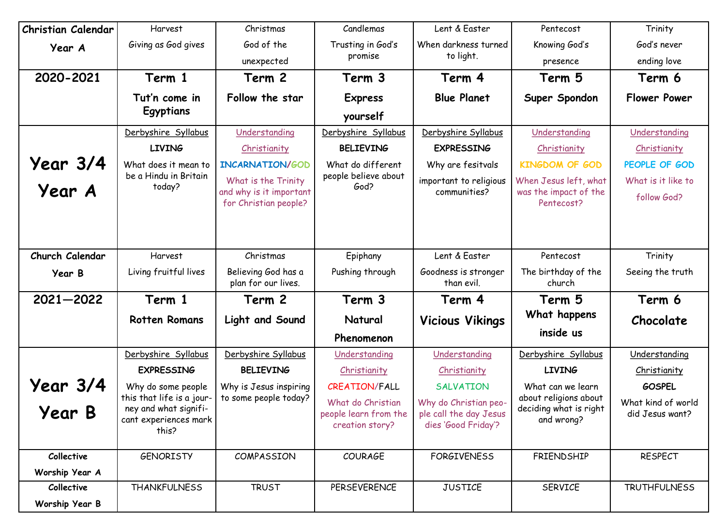| <b>Christian Calendar</b> | Harvest                                            | Christmas                                        | Candlemas                                | Lent & Easter                                 | Pentecost                                       | Trinity             |
|---------------------------|----------------------------------------------------|--------------------------------------------------|------------------------------------------|-----------------------------------------------|-------------------------------------------------|---------------------|
| Year A                    | Giving as God gives                                | God of the                                       | Trusting in God's                        | When darkness turned                          | Knowing God's                                   | God's never         |
|                           |                                                    | unexpected                                       | promise                                  | to light.                                     | presence                                        | ending love         |
| 2020-2021                 | Term 1                                             | Term 2                                           | Term 3                                   | Term 4                                        | Term 5                                          | Term 6              |
|                           | Tut'n come in                                      | Follow the star                                  | <b>Express</b>                           | <b>Blue Planet</b>                            | Super Spondon                                   | <b>Flower Power</b> |
|                           | Egyptians                                          |                                                  | yourself                                 |                                               |                                                 |                     |
|                           | Derbyshire Syllabus                                | Understanding                                    | Derbyshire Syllabus                      | Derbyshire Syllabus                           | Understanding                                   | Understanding       |
|                           | <b>LIVING</b>                                      | Christianity                                     | <b>BELIEVING</b>                         | <b>EXPRESSING</b>                             | Christianity                                    | Christianity        |
| <b>Year 3/4</b>           | What does it mean to                               | INCARNATION/GOD                                  | What do different                        | Why are fesitvals                             | <b>KINGDOM OF GOD</b>                           | PEOPLE OF GOD       |
|                           | be a Hindu in Britain                              | What is the Trinity                              | people believe about                     | important to religious                        | When Jesus left, what                           | What is it like to  |
| Year A                    | today?                                             | and why is it important<br>for Christian people? | God?                                     | communities?                                  | was the impact of the<br>Pentecost?             | follow God?         |
|                           |                                                    |                                                  |                                          |                                               |                                                 |                     |
| Church Calendar           | Harvest                                            | Christmas                                        | Epiphany                                 | Lent & Easter                                 | Pentecost                                       | Trinity             |
| Year B                    | Living fruitful lives                              | Believing God has a<br>plan for our lives.       | Pushing through                          | Goodness is stronger<br>than evil.            | The birthday of the<br>church                   | Seeing the truth    |
| $2021 - 2022$             | Term 1                                             | Term 2                                           | Term 3                                   | Term 4                                        | Term 5                                          | Term 6              |
|                           | <b>Rotten Romans</b>                               | Light and Sound                                  | Natural                                  | <b>Vicious Vikings</b>                        | What happens                                    | Chocolate           |
|                           |                                                    |                                                  | Phenomenon                               |                                               | inside us                                       |                     |
|                           | Derbyshire Syllabus                                | Derbyshire Syllabus                              | Understanding                            | Understanding                                 | Derbyshire Syllabus                             | Understanding       |
|                           | <b>EXPRESSING</b>                                  | <b>BELIEVING</b>                                 | Christianity                             | Christianity                                  | <b>LIVING</b>                                   | Christianity        |
| <b>Year 3/4</b>           | Why do some people                                 | Why is Jesus inspiring                           | <b>CREATION/FALL</b>                     | <b>SALVATION</b>                              | What can we learn                               | <b>GOSPEL</b>       |
|                           | this that life is a jour-<br>ney and what signifi- | to some people today?                            | What do Christian                        | Why do Christian peo-                         | about religions about<br>deciding what is right | What kind of world  |
| <b>Year B</b>             | cant experiences mark<br>this?                     |                                                  | people learn from the<br>creation story? | ple call the day Jesus<br>dies 'Good Friday'? | and wrong?                                      | did Jesus want?     |
| Collective                | <b>GENORISTY</b>                                   | COMPASSION                                       | <b>COURAGE</b>                           | <b>FORGIVENESS</b>                            | FRIENDSHIP                                      | <b>RESPECT</b>      |
| Worship Year A            |                                                    |                                                  |                                          |                                               |                                                 |                     |
| Collective                | <b>THANKFULNESS</b>                                | <b>TRUST</b>                                     | PERSEVERENCE                             | <b>JUSTICE</b>                                | SERVICE                                         | <b>TRUTHFULNESS</b> |
| Worship Year B            |                                                    |                                                  |                                          |                                               |                                                 |                     |